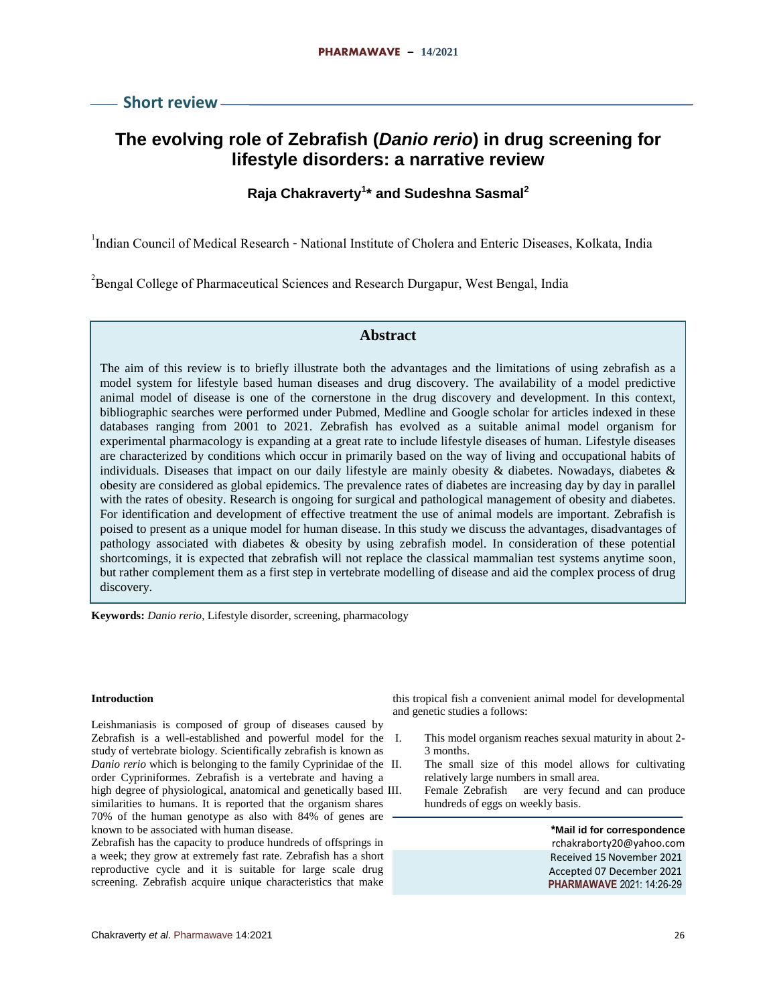**Short review**

# **The evolving role of Zebrafish (***Danio rerio***) in drug screening for lifestyle disorders: a narrative review**

# **Raja Chakraverty<sup>1</sup> \* and Sudeshna Sasmal<sup>2</sup>**

<sup>1</sup>Indian Council of Medical Research - National Institute of Cholera and Enteric Diseases, Kolkata, India

<sup>2</sup> Bengal College of Pharmaceutical Sciences and Research Durgapur, West Bengal, India

# **Abstract**

The aim of this review is to briefly illustrate both the advantages and the limitations of using zebrafish as a model system for lifestyle based human diseases and drug discovery. The availability of a model predictive animal model of disease is one of the cornerstone in the drug discovery and development. In this context, bibliographic searches were performed under Pubmed, Medline and Google scholar for articles indexed in these databases ranging from 2001 to 2021. Zebrafish has evolved as a suitable animal model organism for experimental pharmacology is expanding at a great rate to include lifestyle diseases of human. Lifestyle diseases are characterized by conditions which occur in primarily based on the way of living and occupational habits of individuals. Diseases that impact on our daily lifestyle are mainly obesity & diabetes. Nowadays, diabetes & obesity are considered as global epidemics. The prevalence rates of diabetes are increasing day by day in parallel with the rates of obesity. Research is ongoing for surgical and pathological management of obesity and diabetes. For identification and development of effective treatment the use of animal models are important. Zebrafish is poised to present as a unique model for human disease. In this study we discuss the advantages, disadvantages of pathology associated with diabetes & obesity by using zebrafish model. In consideration of these potential shortcomings, it is expected that zebrafish will not replace the classical mammalian test systems anytime soon, but rather complement them as a first step in vertebrate modelling of disease and aid the complex process of drug discovery.

**Keywords:** *Danio rerio*, Lifestyle disorder, screening, pharmacology

## **Introduction**

Leishmaniasis is composed of group of diseases caused by Zebrafish is a well-established and powerful model for the study of vertebrate biology. Scientifically zebrafish is known as *Danio rerio* which is belonging to the family Cyprinidae of the order Cypriniformes. Zebrafish is a vertebrate and having a high degree of physiological, anatomical and genetically based III. similarities to humans. It is reported that the organism shares 70% of the human genotype as also with 84% of genes are known to be associated with human disease.

Zebrafish has the capacity to produce hundreds of offsprings in a week; they grow at extremely fast rate. Zebrafish has a short reproductive cycle and it is suitable for large scale drug screening. Zebrafish acquire unique characteristics that make

this tropical fish a convenient animal model for developmental and genetic studies a follows:

- This model organism reaches sexual maturity in about 2-3 months.
- The small size of this model allows for cultivating relatively large numbers in small area.
- Female Zebrafish are very fecund and can produce hundreds of eggs on weekly basis.

**\*Mail id for correspondence** rchakraborty20@yahoo.com Received 15 November 2021 Accepted 07 December 2021 **PHARMAWAVE** 2021: 14:26-29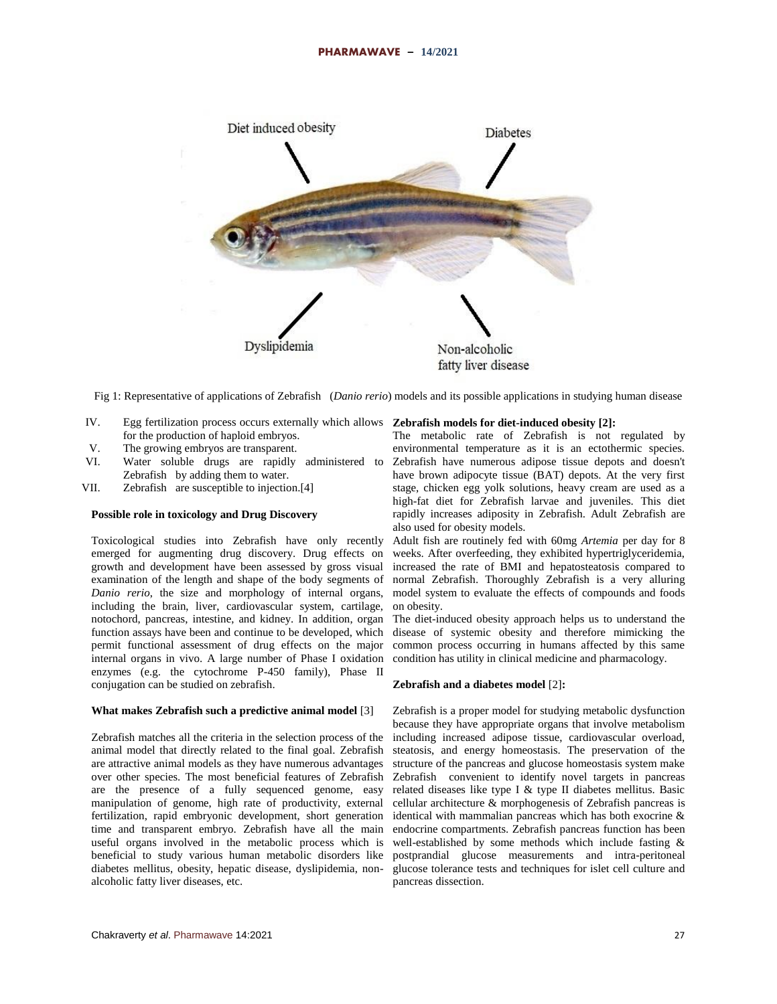

Fig 1: Representative of applications of Zebrafish (*Danio rerio*) models and its possible applications in studying human disease

- IV. Egg fertilization process occurs externally which allows **Zebrafish models for diet-induced obesity [2]:** for the production of haploid embryos.
- V. The growing embryos are transparent.
- VI. Water soluble drugs are rapidly administered to Zebrafish by adding them to water.
- VII. Zebrafish are susceptible to injection.[4]

# **Possible role in toxicology and Drug Discovery**

Toxicological studies into Zebrafish have only recently emerged for augmenting drug discovery. Drug effects on growth and development have been assessed by gross visual examination of the length and shape of the body segments of *Danio rerio*, the size and morphology of internal organs, including the brain, liver, cardiovascular system, cartilage, notochord, pancreas, intestine, and kidney. In addition, organ function assays have been and continue to be developed, which permit functional assessment of drug effects on the major internal organs in vivo. A large number of Phase I oxidation enzymes (e.g. the cytochrome P-450 family), Phase II conjugation can be studied on zebrafish.

# **What makes Zebrafish such a predictive animal model** [3]

Zebrafish matches all the criteria in the selection process of the animal model that directly related to the final goal. Zebrafish are attractive animal models as they have numerous advantages over other species. The most beneficial features of Zebrafish are the presence of a fully sequenced genome, easy manipulation of genome, high rate of productivity, external fertilization, rapid embryonic development, short generation time and transparent embryo. Zebrafish have all the main useful organs involved in the metabolic process which is beneficial to study various human metabolic disorders like diabetes mellitus, obesity, hepatic disease, dyslipidemia, nonalcoholic fatty liver diseases, etc.

The metabolic rate of Zebrafish is not regulated by environmental temperature as it is an ectothermic species. Zebrafish have numerous adipose tissue depots and doesn't have brown adipocyte tissue (BAT) depots. At the very first stage, chicken egg yolk solutions, heavy cream are used as a high-fat diet for Zebrafish larvae and juveniles. This diet rapidly increases adiposity in Zebrafish. Adult Zebrafish are also used for obesity models.

Adult fish are routinely fed with 60mg *Artemia* per day for 8 weeks. After overfeeding, they exhibited hypertriglyceridemia, increased the rate of BMI and hepatosteatosis compared to normal Zebrafish. Thoroughly Zebrafish is a very alluring model system to evaluate the effects of compounds and foods on obesity.

The diet-induced obesity approach helps us to understand the disease of systemic obesity and therefore mimicking the common process occurring in humans affected by this same condition has utility in clinical medicine and pharmacology.

#### **Zebrafish and a diabetes model** [2]**:**

Zebrafish is a proper model for studying metabolic dysfunction because they have appropriate organs that involve metabolism including increased adipose tissue, cardiovascular overload, steatosis, and energy homeostasis. The preservation of the structure of the pancreas and glucose homeostasis system make Zebrafish convenient to identify novel targets in pancreas related diseases like type I & type II diabetes mellitus. Basic cellular architecture & morphogenesis of Zebrafish pancreas is identical with mammalian pancreas which has both exocrine & endocrine compartments. Zebrafish pancreas function has been well-established by some methods which include fasting & postprandial glucose measurements and intra-peritoneal glucose tolerance tests and techniques for islet cell culture and pancreas dissection.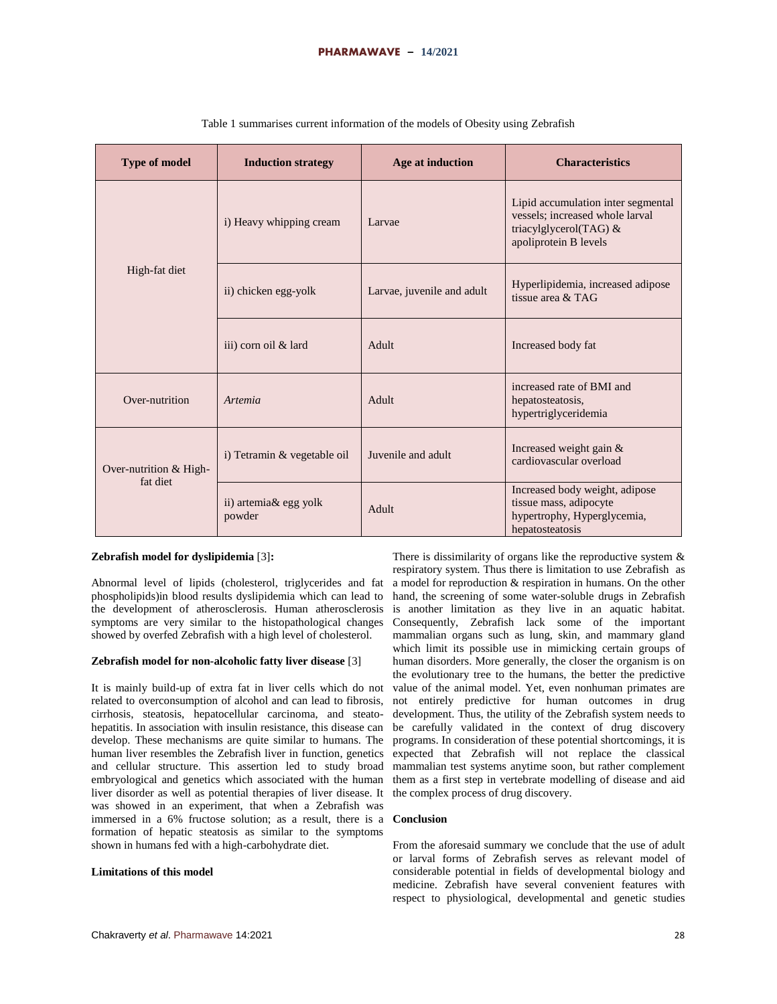| <b>Type of model</b>               | <b>Induction strategy</b>       | Age at induction           | <b>Characteristics</b>                                                                                                   |  |
|------------------------------------|---------------------------------|----------------------------|--------------------------------------------------------------------------------------------------------------------------|--|
|                                    | i) Heavy whipping cream         | Larvae                     | Lipid accumulation inter segmental<br>vessels; increased whole larval<br>triacylglycerol(TAG) &<br>apoliprotein B levels |  |
| High-fat diet                      | ii) chicken egg-yolk            | Larvae, juvenile and adult | Hyperlipidemia, increased adipose<br>tissue area $&TAG$                                                                  |  |
|                                    | iii) corn oil & lard            | Adult                      | Increased body fat                                                                                                       |  |
| Over-nutrition                     | Artemia                         | Adult                      | increased rate of BMI and<br>hepatosteatosis,<br>hypertriglyceridemia                                                    |  |
| Over-nutrition & High-<br>fat diet | i) Tetramin & vegetable oil     | Juvenile and adult         | Increased weight gain &<br>cardiovascular overload                                                                       |  |
|                                    | ii) artemia& egg yolk<br>powder | Adult                      | Increased body weight, adipose<br>tissue mass, adipocyte<br>hypertrophy, Hyperglycemia,<br>hepatosteatosis               |  |

|  |  | Table 1 summarises current information of the models of Obesity using Zebrafish |  |  |  |  |
|--|--|---------------------------------------------------------------------------------|--|--|--|--|
|--|--|---------------------------------------------------------------------------------|--|--|--|--|

# **Zebrafish model for dyslipidemia** [3]**:**

Abnormal level of lipids (cholesterol, triglycerides and fat phospholipids)in blood results dyslipidemia which can lead to the development of atherosclerosis. Human atherosclerosis symptoms are very similar to the histopathological changes showed by overfed Zebrafish with a high level of cholesterol.

# **Zebrafish model for non-alcoholic fatty liver disease** [3]

It is mainly build-up of extra fat in liver cells which do not related to overconsumption of alcohol and can lead to fibrosis, cirrhosis, steatosis, hepatocellular carcinoma, and steatohepatitis. In association with insulin resistance, this disease can develop. These mechanisms are quite similar to humans. The human liver resembles the Zebrafish liver in function, genetics and cellular structure. This assertion led to study broad embryological and genetics which associated with the human liver disorder as well as potential therapies of liver disease. It was showed in an experiment, that when a Zebrafish was immersed in a 6% fructose solution; as a result, there is a formation of hepatic steatosis as similar to the symptoms shown in humans fed with a high-carbohydrate diet.

# **Limitations of this model**

a model for reproduction & respiration in humans. On the other hand, the screening of some water-soluble drugs in Zebrafish is another limitation as they live in an aquatic habitat. Consequently, Zebrafish lack some of the important mammalian organs such as lung, skin, and mammary gland which limit its possible use in mimicking certain groups of human disorders. More generally, the closer the organism is on the evolutionary tree to the humans, the better the predictive value of the animal model. Yet, even nonhuman primates are not entirely predictive for human outcomes in drug development. Thus, the utility of the Zebrafish system needs to be carefully validated in the context of drug discovery programs. In consideration of these potential shortcomings, it is expected that Zebrafish will not replace the classical mammalian test systems anytime soon, but rather complement them as a first step in vertebrate modelling of disease and aid the complex process of drug discovery.

There is dissimilarity of organs like the reproductive system  $\&$ respiratory system. Thus there is limitation to use Zebrafish as

# **Conclusion**

From the aforesaid summary we conclude that the use of adult or larval forms of Zebrafish serves as relevant model of considerable potential in fields of developmental biology and medicine. Zebrafish have several convenient features with respect to physiological, developmental and genetic studies